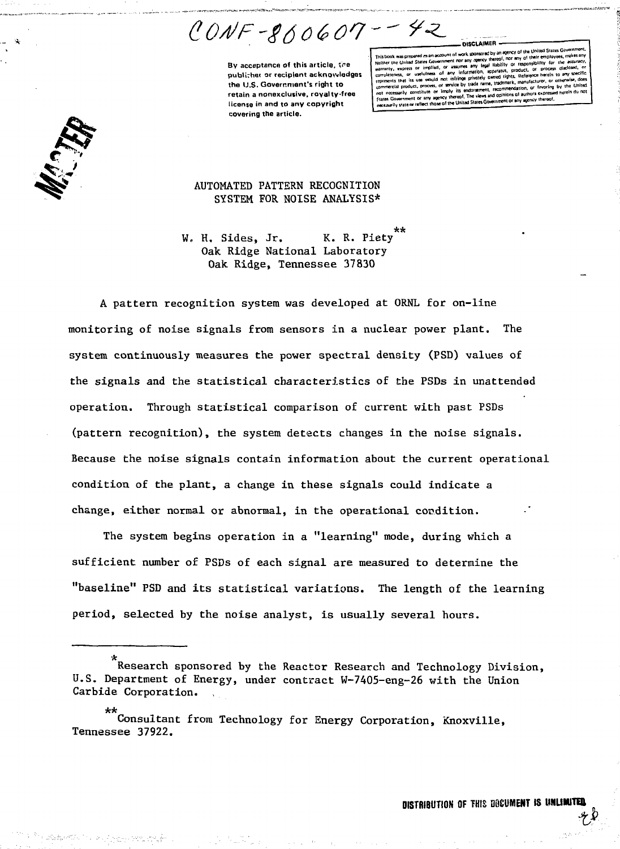$CONF-SOO607--72$ 

**By acceptance of this article, the publisher or recipient acknowledges the U.S. Government's right to retain a nonexclusive, royalty-free license in and to any copyright covering the article.**

Insared by an egency of the United States Govern<br>oency thereof, nor any of their employees, make Neither the United States Government nor any opency thereof, nor any or responsibility for the accuracy,<br>warranty, express or implied, or assumes any legal liability or responsibility for the accuracy,<br>warranty, express or completeness, or usefulness of any information, specialist, processes.<br>connecents that its use would not infringe privately owned rights. Rederence herein to any response from the process, or sevice by trade name, trademark, manuscolony, or recording by the United<br>not notestably constitute or imply its endorsement, recommendation, or fevoring by the United<br>Flates Government or any

**-DISCLAIMER •**



## AUTOMATED PATTERN RECOGNITION SYSTEM FOR NOISE ANALYSIS\*

\*\* W. H. Sides, Jr. K. R. Piety Oak Ridge National Laboratory Oak Ridge, Tennessee 37830

A pattern recognition system was developed at ORNL for on-line monitoring of noise signals from sensors in a nuclear power plant. The system continuously measures the power spectral density (PSD) values of the signals and the statistical characteristics of the PSDs in unattended operation. Through statistical comparison of current with past PSDs (pattern recognition), the system detects changes in the noise signals. Because the noise signals contain information about the current operational condition of the plant, a change in these signals could indicate a change, either normal or abnormal, in the operational condition.

The system begins operation in a "learning" mode, during which a sufficient number of PSDs of each signal are measured to determine the "baseline" PSD and its statistical variations. The length of the learning period, selected by the noise analyst, is usually several hours.

Research sponsored by the Reactor Research and Technology Division, U.S. Department of Energy, under contract W-7405-eng-26 with the Union Carbide Corporation.

<sup>\*\*</sup> Consultant from Technology for Energy Corporation, Knoxville, Tennessee 37922.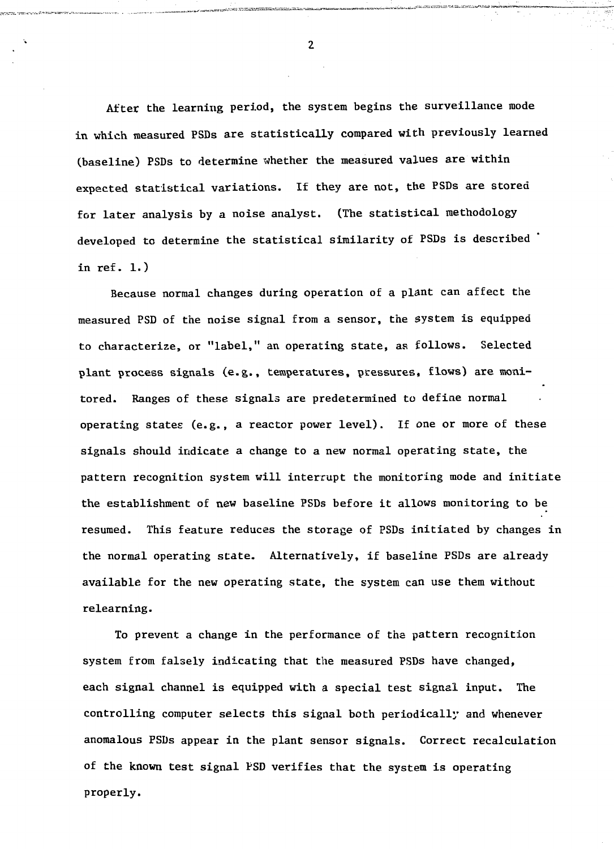After the learning period, the system begins the surveillance mode in which measured PSDs are statistically compared with previously learned (baseline) PSDs to determine whether the measured values are within expected statistical variations. If they are not, the PSDs are stored for later analysis by a noise analyst. (The statistical methodology developed to determine the statistical similarity of PSDs is described in ref. 1.)

Because normal changes during operation of a plant can affect the measured PSD of the noise signal from a sensor, the system is equipped to characterize, or "label," an operating state, as follows. Selected plant process signals (e.g., temperatures, pressures, flows) are monitored. Ranges of these signals are predetermined to define normal operating states (e.g., a reactor power level). If one or more of these signals should indicate a change to a new normal operating state, the pattern recognition system will interrupt the monitoring mode and initiate the establishment of new baseline PSDs before it allows monitoring to be resumed. This feature reduces the storage of PSDs initiated by changes in the normal operating state. Alternatively, if baseline PSDs are already available for the new operating state, the system can use them without relearning.

To prevent a change in the performance of the pattern recognition system from falsely indicating that the measured PSDs have changed, each signal channel is equipped with a special test signal input. The controlling computer selects this signal both periodically and whenever anomalous PSDs appear in the plant sensor signals. Correct recalculation of the known test signal PSD verifies that the system is operating properly.

 $\overline{2}$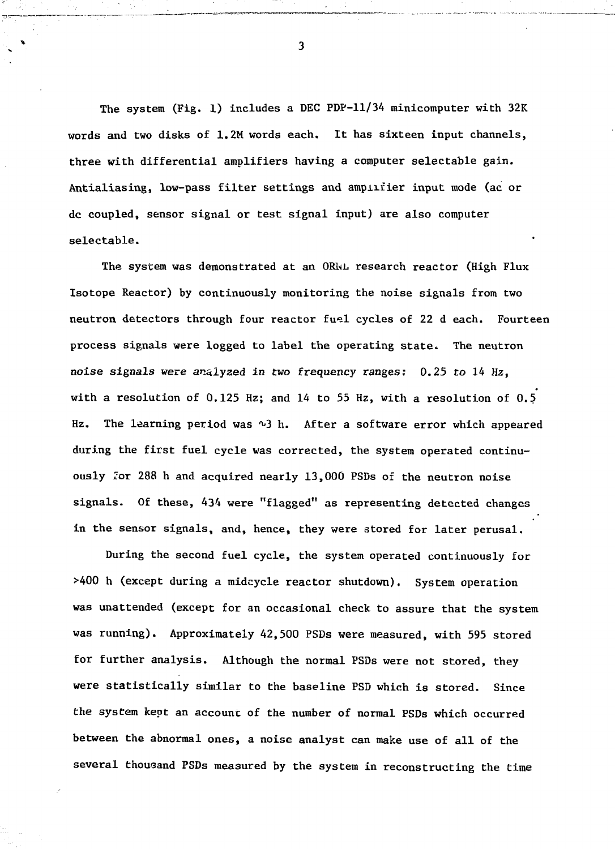The system (Fig. 1) includes a DEC PDP-11/34 minicomputer with 32K words and two disks of 1.2M words each. It has sixteen input channels, three with differential amplifiers having a computer selectable gain. Antialiasing, low-pass filter settings and amplifier input mode (ac or dc coupled, sensor signal or test signal input) are also computer selectable.

The system was demonstrated at an ORhL research reactor (High Flux Isotope Reactor) by continuously monitoring the noise signals from two neutron detectors through four reactor fuel cycles of 22 d each. Fourteen process signals were logged to label the operating state. The neutron noise signals were analyzed in two frequency ranges: 0.25 to 14 Hz, with a resolution of 0.125 Hz; and 14 to 55 Hz, with a resolution of 0.5 Hz. The learning period was  $\sqrt{3}$  h. After a software error which appeared during the first fuel cycle was corrected, the system operated continuously Zor 288 h and acquired nearly 13,000 PSDs of the neutron noise signals. Of these, 434 were "flagged" as representing detected changes in the sensor signals, and, hence, they were stored for later perusal.

During the second fuel cycle, the system operated continuously for >400 h (except during a midcycle reactor shutdown). System operation was unattended (except for an occasional check to assure that the system was running). Approximately 42,500 PSDs were measured, with 595 stored for further analysis. Although the normal PSDs were not stored, they were statistically similar to the baseline PSD which is stored. Since the system kept an account of the number of normal PSDs which occurred between the abnormal ones, a noise analyst can make use of all of the several thousand PSDs measured by the system in reconstructing the time

 $\overline{\mathbf{3}}$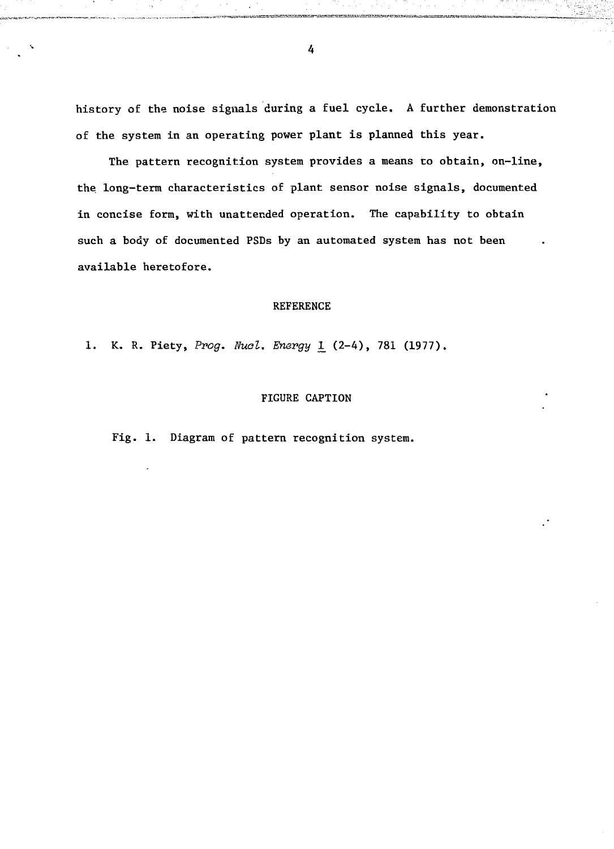history of the noise signals during a fuel cycle. A further demonstration of the system in an operating power plant is planned this year.

The pattern recognition system provides a means to obtain, on-line, the. long-term characteristics of plant sensor noise signals, documented in concise form, with unattended operation. The capability to obtain such a body of documented PSDs by an automated system has not been available heretofore.

## REFERENCE

1. K. R. Piety, Prog. Nucl. Energy 1 (2-4), 781 (1977).

## FIGURE CAPTION

Fig. 1. Diagram of pattern recognition system.

4